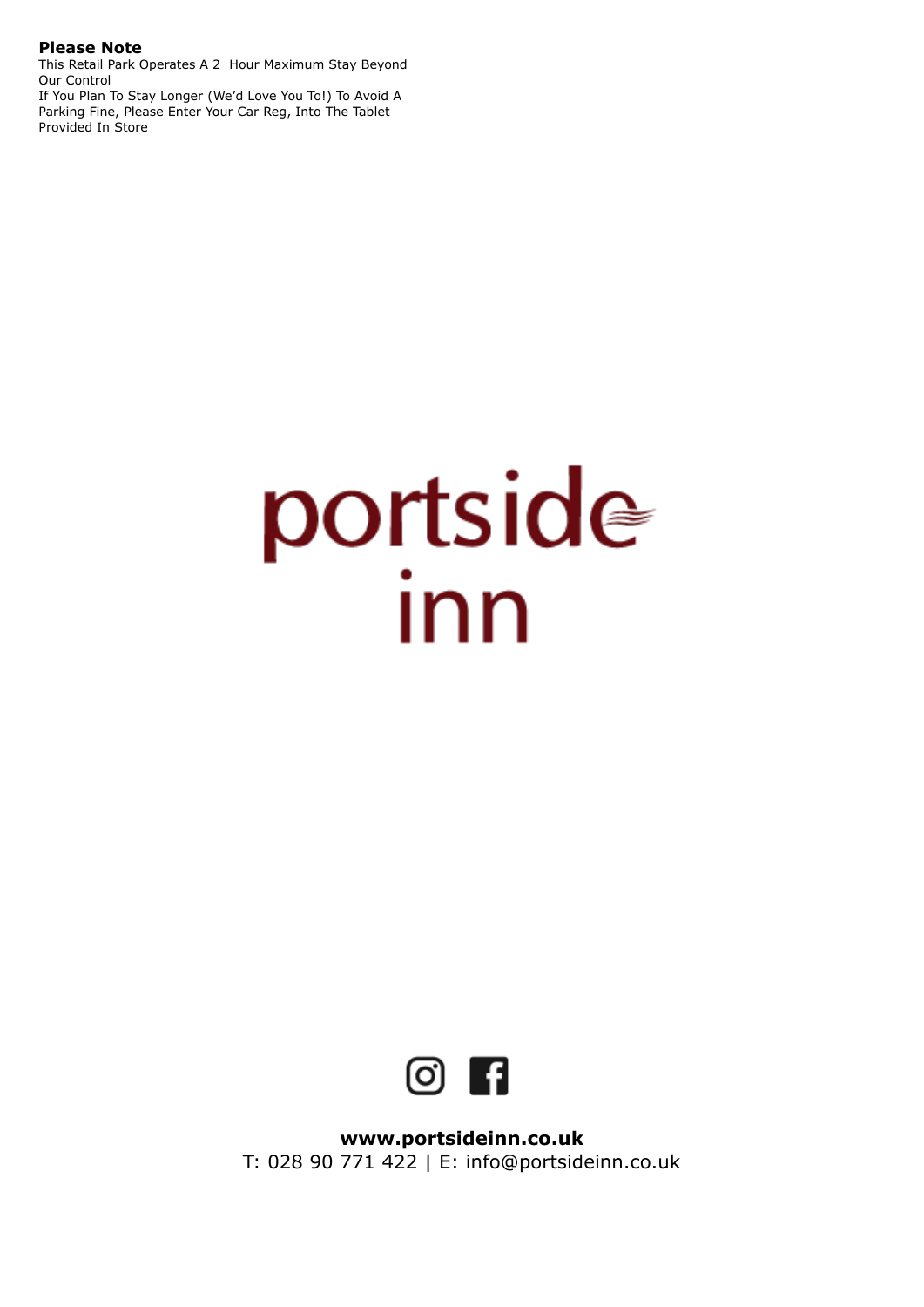### **Please Note**

This Retail Park Operates A 2 Hour Maximum Stay Beyond Our Control

If You Plan To Stay Longer (We'd Love You To!) To Avoid A Parking Fine, Please Enter Your Car Reg, Into The Tablet Provided In Store

# portside



**[www.portsideinn.co.uk](http://www.portsideinn.co.uk)**  T: 028 90 771 422 | E: [info@portsideinn.co.uk](mailto:info@portsideinn.co.uk)